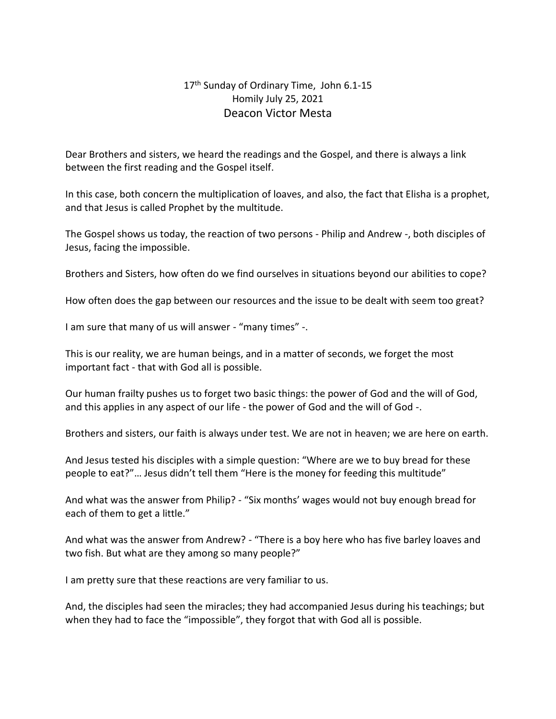## 17<sup>th</sup> Sunday of Ordinary Time, John 6.1-15 Homily July 25, 2021 Deacon Victor Mesta

Dear Brothers and sisters, we heard the readings and the Gospel, and there is always a link between the first reading and the Gospel itself.

In this case, both concern the multiplication of loaves, and also, the fact that Elisha is a prophet, and that Jesus is called Prophet by the multitude.

The Gospel shows us today, the reaction of two persons - Philip and Andrew -, both disciples of Jesus, facing the impossible.

Brothers and Sisters, how often do we find ourselves in situations beyond our abilities to cope?

How often does the gap between our resources and the issue to be dealt with seem too great?

I am sure that many of us will answer - "many times" -.

This is our reality, we are human beings, and in a matter of seconds, we forget the most important fact - that with God all is possible.

Our human frailty pushes us to forget two basic things: the power of God and the will of God, and this applies in any aspect of our life - the power of God and the will of God -.

Brothers and sisters, our faith is always under test. We are not in heaven; we are here on earth.

And Jesus tested his disciples with a simple question: "Where are we to buy bread for these people to eat?"… Jesus didn't tell them "Here is the money for feeding this multitude"

And what was the answer from Philip? - "Six months' wages would not buy enough bread for each of them to get a little."

And what was the answer from Andrew? - "There is a boy here who has five barley loaves and two fish. But what are they among so many people?"

I am pretty sure that these reactions are very familiar to us.

And, the disciples had seen the miracles; they had accompanied Jesus during his teachings; but when they had to face the "impossible", they forgot that with God all is possible.